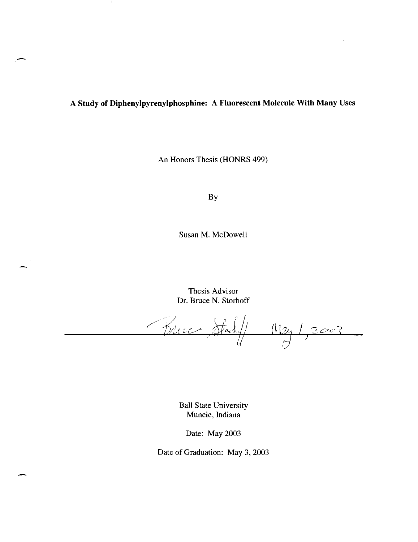# A **Study of Diphenylpyrenylphosphine: A Fluorescent Molecule With Many** Uses

Ť

An Honors Thesis (HONRS 499)

By

Susan M. McDowell

Thesis Advisor Dr. Bruce N. Storhoff

Bruce Stahl Mry 1,2003

Ball State University Muncie. Indiana

Date: May 2003

Date of Graduation: May 3, 2003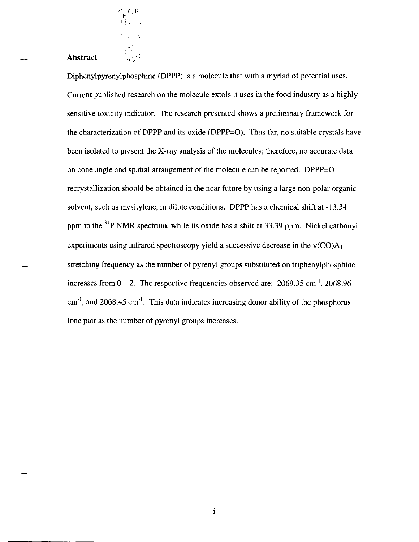## - **Abstract**

 $\sim$  (  $\pm$  $\int_{\mathbb{T}} f(x) dx$ 

 $\frac{1}{\sqrt{2}}$ 

Diphenylpyrenylphosphine (DPPP) is a molecule that with a myriad of potential uses. Current published research on the molecule extols it uses in the food industry as a highly sensitive toxicity indicator. The research presented shows a preliminary framework for the characterization of DPPP and its oxide (DPPP=O). Thus far, no suitable crystals have been isolated to present the X-ray analysis of the molecules; therefore, no accurate data on cone angle and spatial arrangement of the molecule can be reported. DPPP=O recrystallization should be obtained in the near future by using a large non-polar organic solvent, such as mesitylene, in dilute conditions. DPPP has a chemical shift at -13.34 ppm in the <sup>31</sup>P NMR spectrum, while its oxide has a shift at 33.39 ppm. Nickel carbonyl experiments using infrared spectroscopy yield a successive decrease in the  $v(CO)A<sub>1</sub>$ stretching frequency as the number of pyrenyl groups substituted on triphenylphosphine increases from  $0 - 2$ . The respective frequencies observed are: 2069.35 cm<sup>-1</sup>, 2068.96  $cm<sup>-1</sup>$ , and 2068.45  $cm<sup>-1</sup>$ . This data indicates increasing donor ability of the phosphorus lone pair as the number of pyrenyl groups increases.

 $\mathbf{i}$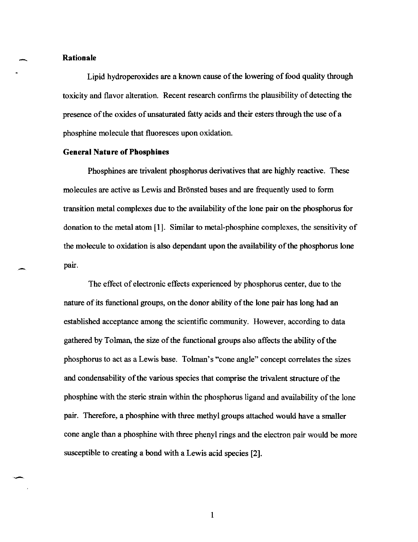#### - **Rationale**

Lipid hydroperoxides are a known cause of the lowering of food quality through toxicity and flavor alteration. Recent research confIrms the plausibility of detecting the presence of the oxides of unsaturated tatty acids and their esters through the use of a phosphine molecule that fluoresces upon oxidation.

## **General Nature of Phosphines**

Phosphines are trivalent phosphorus derivatives that are highly reactive. These molecules are active as Lewis and Bronsted bases and are frequently used to form transition metal complexes due to the availability of the lone pair on the phosphorus for donation to the metal atom [1]. Similar to metal-phosphine complexes, the sensitivity of the molecule to oxidation is also dependant upon the availability of the phosphorus lone pair.

The effect of electronic effects experienced by phosphorus center, due to the nature of its functional groups, on the donor ability of the lone pair has long had an established acceptance among the scientific community. However, according to data gathered by Tolman, the size of the functional groups also affects the ability of the phosphorus to act as a Lewis base. Tolman's "cone angle" concept correlates the sizes and condensability of the various species that comprise the trivalent structure of the phosphine with the steric strain within the phosphorus ligand and availability of the lone pair. Therefore, a phosphine with three methyl groups attached would have a smaller cone angle than a phosphine with three phenyl rings and the electron pair would be more susceptible to creating a bond with a Lewis acid species [2].

I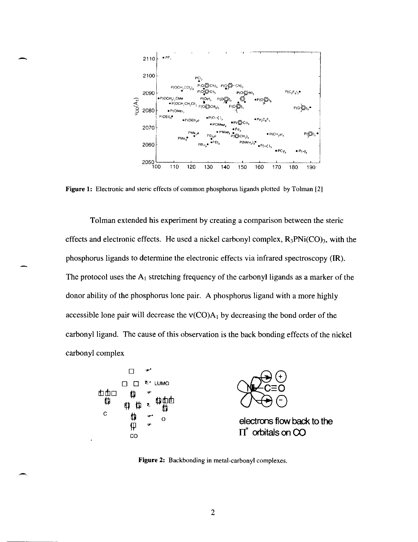

Figure 1: Electronic and steric effects of common phosphorus ligands plotted by Tolman [2J

Tolman extended his experiment by creating a comparison between the steric effects and electronic effects. He used a nickel carbonyl complex,  $R_3PNi(CO)_3$ , with the phosphorus ligands to determine the electronic effects via infrared spectroscopy  $(\mathbb{R})$ . The protocol uses the  $A_1$  stretching frequency of the carbonyl ligands as a marker of the donor ability of the phosphorus lone pair. A phosphorus ligand with a more highly accessible lone pair will decrease the  $v(CO)A_1$  by decreasing the bond order of the carbonyl ligand. The cause of this observation is the back bonding effects of the nickel carbonyl complex



Figure 2: Backbonding in metal-carbonyl complexes.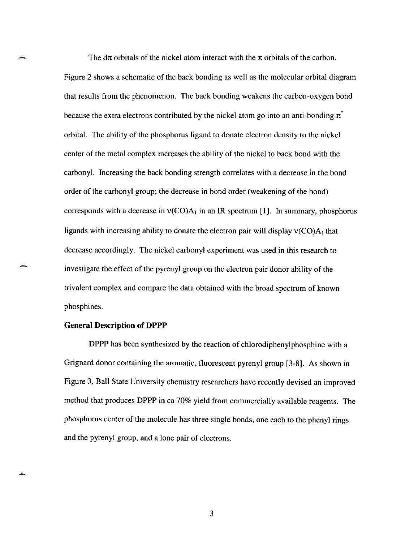The d $\pi$  orbitals of the nickel atom interact with the  $\pi$  orbitals of the carbon. Figure 2 shows a schematic of the back bonding as well as the molecular orbital diagram that results from the phenomenon. The back bonding weakens the carbon-oxygen bond because the extra electrons contributed by the nickel atom go into an anti-bonding  $\pi^*$ orbital. The ability of the phosphorus ligand to donate electron density to the nickel center of the metal complex increases the ability of the nickel to back bond with the carbonyl. Increasing the back bonding strength correlates with a decrease in the bond order of the carbonyl group; the decrease in bond order (weakening of the bond) corresponds with a decrease in  $v(CO)A_1$  in an IR spectrum [1]. In summary, phosphorus ligands with increasing ability to donate the electron pair will display  $v(CO)A_1$  that decrease accordingly. The nickel carbonyl experiment was used in this research to investigate the effect of the pyrenyl group on the electron pair donor ability of the trivalent complex and compare the data obtained with the broad spectrum of known phosphines.

## **General Description of DPPP**

-

DPPP has been synthesized by the reaction of chlorodiphenylphosphine with a Grignard donor containing the aromatic, fluorescent pyrenyl group [3-8). As shown in Figure 3, Ball State University chemistry researchers have recently devised an improved method that produces DPPP in ca 70% yield from commercially available reagents. The phosphorus center of the molecule has three single bonds, one each to the phenyl rings and the pyrenyl group, and a lone pair of electrons.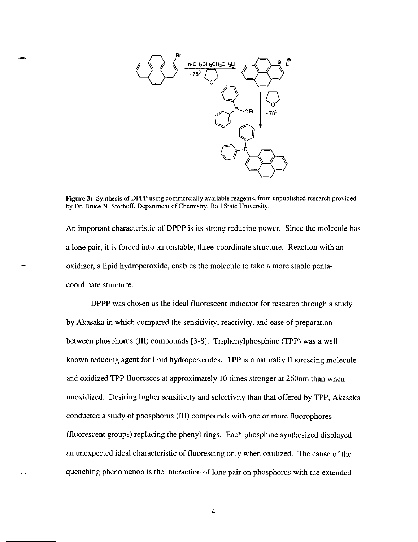

**Figure** 3: Synthesis of DPPP using commercially available reagents, from unpublished research provided by Dr. Bruce N. Storhoff, Department of Chemistry, Ball State University.

An important characteristic of DPPP is its strong reducing power. Since the molecule has a lone pair, it is forced into an unstable, three-coordinate structure. Reaction with an oxidizer, a lipid hydroperoxide, enables the molecule to take a more stable pentacoordinate structure.

DPPP was chosen as the ideal fluorescent indicator for research through a study by Akasaka in which compared the sensitivity, reactivity, and ease of preparation between phosphorus (III) compounds [3-8]. Triphenylphosphine (TPP) was a wellknown reducing agent for lipid hydroperoxides. TPP is a naturally fluorescing molecule and oxidized TPP fluoresces at approximately 10 times stronger at 260nm than when unoxidized. Desiring higher sensitivity and selectivity than that offered by TPP, Akasaka conducted a study of phosphorus (III) compounds with one or more fluorophores (fluorescent groups) replacing the phenyl rings. Each phosphine synthesized displayed an unexpected ideal characteristic of fluorescing only when oxidized. The cause of the quenching phenomenon is the interaction of lone pair on phosphorus with the extended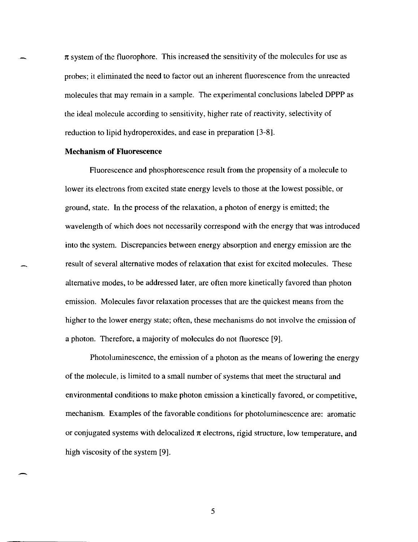$\pi$  system of the fluorophore. This increased the sensitivity of the molecules for use as probes; it eliminated the need to factor out an inherent fluorescence from the unreacted molecules that may remain in a sample. The experimental conclusions labeled **DPPP** as the ideal molecule according to sensitivity, higher rate of reactivity, selectivity of reduction to lipid hydroperoxides, and ease in preparation [3-8].

#### **Mechanism of Fluorescence**

Fluorescence and phosphorescence result from the propensity of a molecule to lower its electrons from excited state energy levels to those at the lowest possible, or ground, state. **In** the process of the relaxation, a photon of energy is emitted; the wavelength of which does not necessarily correspond with the energy that was introduced into the system. Discrepancies between energy absorption and energy emission are the result of several alternative modes of relaxation that exist for excited molecules. These alternative modes, to be addressed later, are often more kinetically favored than photon emission. Molecules favor relaxation processes that are the quickest means from the higher to the lower energy state; often, these mechanisms do not involve the emission of a photon. Therefore, a majority of molecules do not fluoresce [9].

Photoluminescence, the emission of a photon as the means of lowering the energy of the molecule, is limited to a small number of systems that meet the structural and environmental conditions to make photon emission a kinetically favored, or competitive, mechanism. Examples of the favorable conditions for photoluminescence are: aromatic or conjugated systems with delocalized  $\pi$  electrons, rigid structure, low temperature, and high viscosity of the system [9].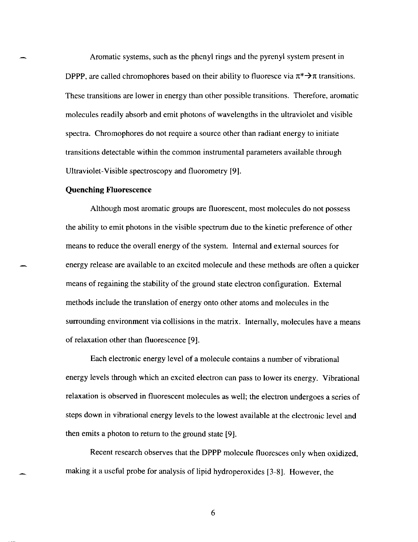Aromatic systems, such as the phenyl rings and the pyrenyl system present in DPPP, are called chromophores based on their ability to fluoresce via  $\pi^* \rightarrow \pi$  transitions. These transitions are lower in energy than other possible transitions. Therefore, aromatic molecules readily absorb and emit photons of wavelengths in the ultraviolet and visible spectra. Chromophores do not require a source other than radiant energy to initiate transitions detectable within the common instrumental parameters available through Ultraviolet-Visible spectroscopy and fluorometry [9].

#### **Quenching Fluorescence**

Although most aromatic groups are fluorescent, most molecules do not possess the ability to emit photons in the visible spectrum due to the kinetic preference of other means to reduce the overall energy of the system. Internal and external sources for energy release are available to an excited molecule and these methods are often a quicker means of regaining the stability of the ground state electron configuration. External methods include the translation of energy onto other atoms and molecules in the surrounding environment via collisions in the matrix. Internally, molecules have a means of relaxation other than fluorescence [9].

Each electronic energy level of a molecule contains a number of vibrational energy levels through which an excited electron can pass to lower its energy. Vibrational relaxation is observed in fluorescent molecules as well; the electron undergoes a series of steps down in vibrational energy levels to the lowest available at the electronic level and then emits a photon to return to the ground state [9].

Recent research observes that the DPPP molecule fluoresces only when oxidized, making it a useful probe for analysis of lipid hydroperoxides [3-8]. However, the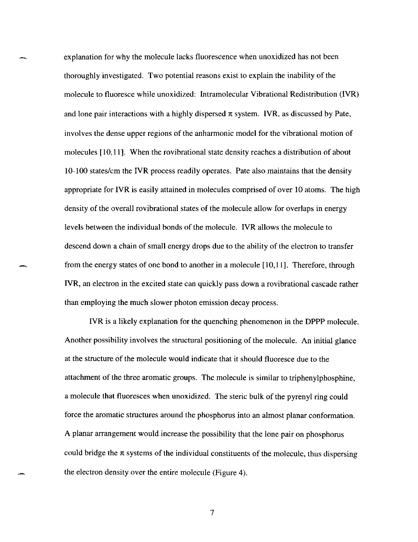explanation for why the molecule lacks fluorescence when unoxidized has not been thoroughly investigated. Two potential reasons exist to explain the inability of the molecule to fluoresce while unoxidized: Intramolecular Vibrational Redistribution (IVR) and lone pair interactions with a highly dispersed  $\pi$  system. IVR, as discussed by Pate, involves the dense upper regions of the anharmonic model for the vibrational motion of molecules [10,11]. When the rovibrational state density reaches a distribution of about 10-100 states/em the IVR process readily operates. Pate also maintains that the density appropriate for IVR is easily attained in molecules comprised of over 10 atoms. The high density of the overall rovibrational states of the molecule allow for overlaps in energy levels between the individual bonds of the molecule. IVR allows the molecule to descend down a chain of small energy drops due to the ability of the electron to transfer from the energy states of one bond to another in a molecule [10,11]. Therefore, through IVR, an electron in the excited state can quickly pass down a rovibrational cascade rather than employing the much slower photon emission decay process.

IVR is a likely explanation for the quenching phenomenon in the DPPP molecule. Another possibility involves the structural positioning of the molecule. An initial glance at the structure of the molecule would indicate that it should fluoresce due to the attachment of the three aromatic groups. The molecule is similar to triphenylphosphine, a molecule that fluoresces when unoxidized. The steric bulk of the pyrenyl ring could force the aromatic structures around the phosphorus into an almost planar conformation. A planar arrangement would increase the possibility that the lone pair on phosphorus could bridge the  $\pi$  systems of the individual constituents of the molecule, thus dispersing the electron density over the entire molecule (Figure 4).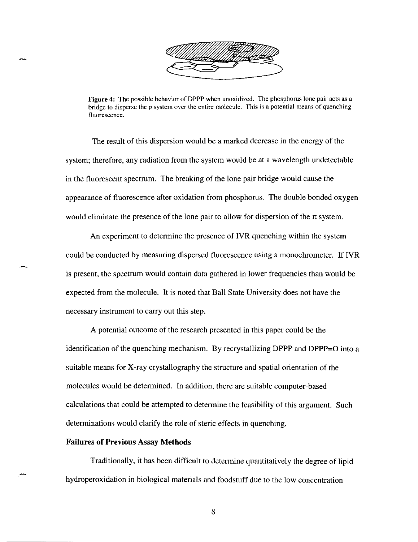

Figure 4: The possible behavior of DPPP when unoxidized. The phosphorus lone pair acts as a bridge to disperse the p system over the entire molecule. This is a potential means of quenching fluorescence.

The result of this dispersion would be a marked decrease in the energy of the system; therefore, any radiation from the system would be at a wavelength undetectable in the fluorescent spectrum. The breaking of the lone pair bridge would cause the appearance of fluorescence after oxidation from phosphorus. The double bonded oxygen would eliminate the presence of the lone pair to allow for dispersion of the  $\pi$  system.

An experiment to determine the presence of IVR quenching within the system could be conducted by measuring dispersed fluorescence using a monochrometer. If IVR is present, the spectrum would contain data gathered in lower frequencies than would be expected from the molecule. It is noted that Ball State University does not have the necessary instrument to carry out this step.

A potential outcome of the research presented in this paper could be the identification of the quenching mechanism. By recrystallizing DPPP and DPPP=O into a suitable means for X-ray crystallography the structure and spatial orientation of the molecules would be determined. In addition, there are suitable computer-based calculations that could be attempted to determine the feasibility of this argument. Such determinations would clarify the role of steric effects in quenching.

#### Failures of Previous Assay Methods

Traditionally, it has been difficult to determine quantitatively the degree of lipid hydroperoxidation in biological materials and foodstuff due to the low concentration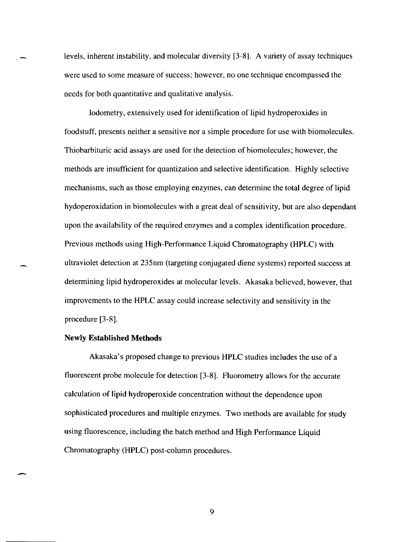levels, inherent instability, and molecular diversity [3-8). A variety of assay techniques were used to some measure of success; however, no one technique encompassed the needs for both quantitative and qualitative analysis.

Iodometry, extensively used for identification of lipid hydroperoxides in foodstuff, presents neither a sensitive nor a simple procedure for use with biomolecules. Thiobarbituric acid assays are used for the detection of biomolecules; however, the methods are insufficient for quantization and selective identification. Highly selective mechanisms, such as those employing enzymes, can determine the total degree of lipid hydoperoxidation in biomolecules with a great deal of sensitivity, but are also dependant upon the availability of the required enzymes and a complex identification procedure. Previous methods using High-Performance Liquid Chromatography (HPLC) with ultraviolet detection at 235nm (targeting conjugated diene systems) reported success at determining lipid hydroperoxides at molecular levels. Akasaka believed, however, that improvements to the HPLC assay could increase selectivity and sensitivity in the procedure [3-8).

#### **Newly Established Methods**

Akasaka's proposed change to previous HPLC studies includes the use of a fluorescent probe molecule for detection [3-8). Fluorometry allows for the accurate calculation of lipid hydroperoxide concentration without the dependence upon sophisticated procedures and multiple enzymes. Two methods are available for study using fluorescence, including the batch method and High Performance Liquid Chromatography (HPLC) post-column procedures.

-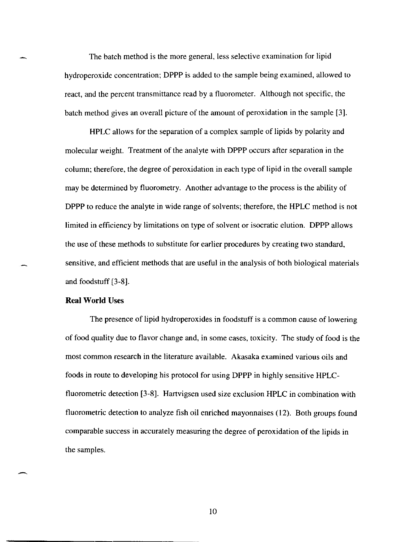The batch method is the more general, less selective examination for lipid hydroperoxide concentration; DPPP is added to the sample being examined, allowed to react, and the percent transmittance read by a fluorometer. Although not specific, the batch method gives an overall picture of the amount of peroxidation in the sample [3].

HPLC allows for the separation of a complex sample of lipids by polarity and molecular weight. Treatment of the analyte with DPPP occurs after separation in the column; therefore, the degree of peroxidation in each type of lipid in the overall sample may be determined by fluorometry. Another advantage to the process is the ability of DPPP to reduce the analyte in wide range of solvents; therefore, the HPLC method is not limited in efficiency by limitations on type of solvent or isocratic elution. DPPP allows the use of these methods to substitute for earlier procedures by creating two standard, sensitive, and efficient methods that are useful in the analysis of both biological materials and foodstuff [3-8].

## **Real World** Uses

The presence of lipid hydroperoxides in foodstuff is a common cause of lowering of food quality due to flavor change and, in some cases, toxicity. The study of food is the most common research in the literature available. Akasaka examined various oils and foods in route to developing his protocol for using DPPP in highly sensitive HPLCfluorometric detection [3-8]. Hartvigsen used size exclusion HPLC in combination with fluorometric detection to analyze fish oil enriched mayonnaises (12). Both groups found comparable success in accurately measuring the degree of peroxidation of the lipids in the samples.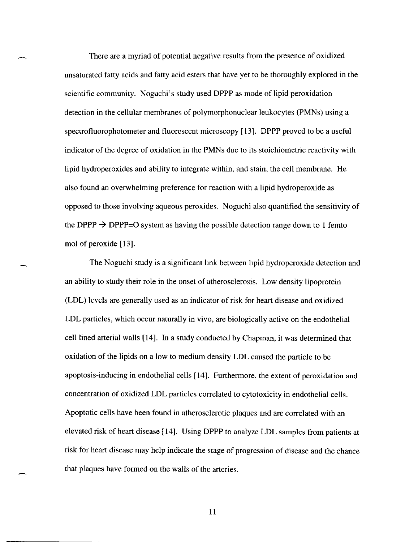There are a myriad of potential negative results from the presence of oxidized unsaturated fatty acids and fatty acid esters that have yet to be thoroughly explored in the scientific community. Noguchi's study used DPPP as mode of lipid peroxidation detection in the cellular membranes of polymorphonuclear leukocytes (PMNs) using a spectrofluorophotometer and fluorescent microscopy [13]. DPPP proved to be a useful indicator of the degree of oxidation in the PMNs due to its stoichiometric reactivity with lipid hydroperoxides and ability to integrate within, and stain, the cell membrane. He also found an overwhelming preference for reaction with a lipid hydroperoxide as opposed to those involving aqueous peroxides. Noguchi also quantified the sensitivity of the DPPP  $\rightarrow$  DPPP=O system as having the possible detection range down to 1 femto mol of peroxide [13].

The Noguchi study is a significant link between lipid hydroperoxide detection and an ability to study their role in the onset of atherosclerosis. Low density lipoprotein (LDL) levels are generally used as an indicator of risk for heart disease and oxidized LDL particles. which occur naturally in vivo, are biologically active on the endothelial cell lined arterial walls [14]. In a study conducted by Chapman, it was determined that oxidation of the lipids on a low to medium density LDL caused the particle to be apoptosis-inducing in endothelial cells [14]. Furthermore, the extent of peroxidation and concentration of oxidized LDL particles correlated to cytotoxicity in endothelial cells. Apoptotic cells have been found in atherosclerotic plaques and are correlated with an elevated risk of heart disease [14]. Using DPPP to analyze LDL samples from patients at risk for heart disease may help indicate the stage of progression of disease and the chance that plaques have formed on the walls of the arteries.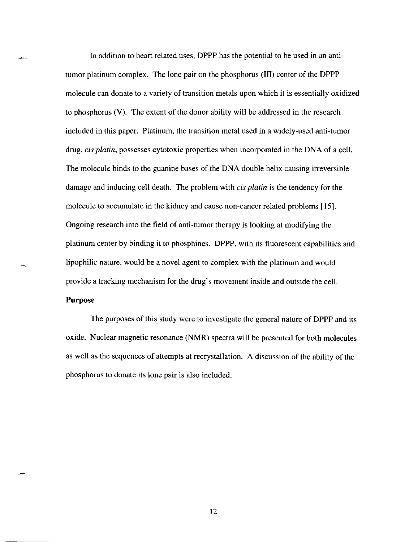In addition to heart related uses, DPPP has the potential to be used in an antitumor platinum complex. The lone pair on the phosphorus (III) center of the DPPP molecule can donate to a variety of transition metals upon which it is essentially oxidized to phosphorus (V). The extent of the donor ability will be addressed in the research included in this paper. Platinum, the transition metal used in a widely-used anti-tumor drug, *cis piatin,* possesses cytotoxic properties when incorporated in the DNA of a cell. The molecule binds to the guanine bases of the DNA double helix causing irreversible damage and inducing cell death. The problem with *cis piatin* is the tendency for the molecule to accumulate in the kidney and cause non-cancer related problems [15]. Ongoing research into the field of anti-tumor therapy is looking at modifying the platinum center by binding it to phosphines. DPPP, with its fluorescent capabilities and lipophilic nature, would be a novel agent to complex with the platinum and would provide a tracking mechanism for the drug's movement inside and outside the cell. **Purpose** 

The purposes of this study were to investigate the general nature of DPPP and its oxide. Nuclear magnetic resonance (NMR) spectra will be presented for both molecules as well as the sequences of attempts at recrystallation. A discussion of the ability of the phosphorus to donate its lone pair is also included.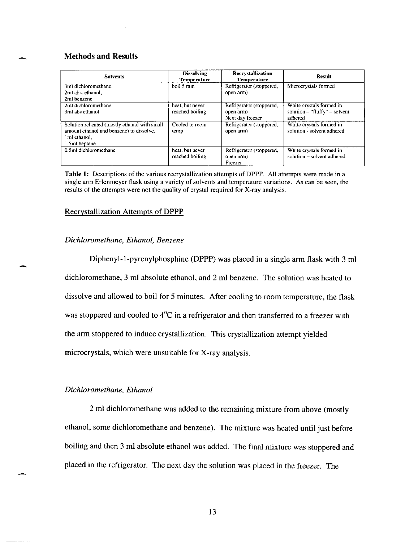## **Methods and Results**

| <b>Solvents</b>                                                                                                            | <b>Dissolving</b><br><b>Temperature</b> | Recrystallization<br><b>Temperature</b>                  | Result                                                                 |
|----------------------------------------------------------------------------------------------------------------------------|-----------------------------------------|----------------------------------------------------------|------------------------------------------------------------------------|
| 3ml dichloromethane.<br>2ml abs. ethanol.<br>2ml benzene                                                                   | boil 5 min                              | Refrigerator (stoppered,<br>open arm)                    | Microcrystals formed                                                   |
| 2ml dichloromethane.<br>3ml abs ethanol                                                                                    | heat, but never<br>reached boiling      | Refrigerator (stoppered,<br>open arm<br>Next day freezer | White crystals formed in<br>solution $-$ "fluffy" – solvent<br>adhered |
| Solution reheated (mostly ethanol with small<br>amount ethanol and benzene) to dissolve,<br>1 ml ethanol.<br>1.5ml heptane | Cooled to room<br>temp                  | Refrigerator (stoppered,<br>open arm)                    | White crystals formed in<br>solution - solvent adhered                 |
| 0.5ml dichloromethane                                                                                                      | heat, but never<br>reached boiling      | Refrigerator (stoppered,<br>open arm)<br>Freezer         | White crystals formed in<br>solution - solvent adhered                 |

**Table 1: Descriptions** of the **various recrystallization attempts** of DPPP. **All attempts were made in a single arm Erlenmeyer flask using a variety of solvents and temperature variations. As can be seen, the**  results of the attempts were not the quality of crystal required for X-ray analysis.

#### Recrystallization Attempts of DPPP

#### *Dichloromethane, Ethanol, Benzene*

Diphenyl-l-pyrenylphosphine (DPPP) was placed in a single arm flask with 3 ml dichloromethane, 3 ml absolute ethanol, and 2 ml benzene. The solution was heated to dissolve and allowed to boil for 5 minutes. After cooling to room temperature, the flask was stoppered and cooled to 4°C in a refrigerator and then transferred to a freezer with the arm stoppered to induce crystallization. This crystallization attempt yielded microcrystals, which were unsuitable for X-ray analysis.

#### *Dichloromethane, Ethanol*

2 ml dichloromethane was added to the remaining mixture from above (mostly ethanol, some dichloromethane and benzene). The mixture was heated until just before boiling and then 3 ml absolute ethanol was added. The final mixture was stoppered and placed in the refrigerator. The next day the solution was placed in the freezer. The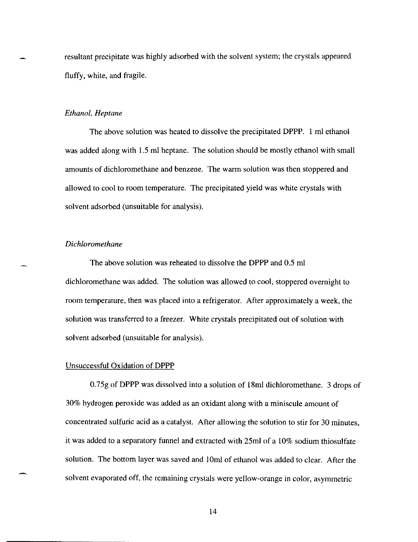resultant precipitate was highly adsorbed with the solvent system; the crystals appeared fluffy, white, and fragile.

#### *Ethanol, Heptane*

The above solution was heated to dissolve the precipitated DPPP. 1 ml ethanol was added along with 1.5 ml heptane. The solution should be mostly ethanol with small amounts of dichloromethane and benzene. The warm solution was then stoppered and allowed to cool to room temperature. The precipitated yield was white crystals with solvent adsorbed (unsuitable for analysis).

## *Dichloromethane*

The above solution was reheated to dissolve the DPPP and 0.5 ml dichloromethane was added. The solution was allowed to cool, stoppered overnight to room temperature, then was placed into a refrigerator. After approximately a week, the solution was transferred to a freezer. White crystals precipitated out of solution with solvent adsorbed (unsuitable for analysis).

#### Unsuccessful Oxidation of DPPP

0.75g of DPPP was dissolved into a solution of 18ml dichloromethane. 3 drops of 30% hydrogen peroxide was added as an oxidant along with a miniscule amount of concentrated sulfuric acid as a catalyst. After allowing the solution to stir for 30 minutes, it was added to a separatory funnel and extracted with 25ml of a 10% sodium thiosulfate solution. The bottom layer was saved and 10ml of ethanol was added to clear. After the solvent evaporated off, the remaining crystals were yellow-orange in color, asymmetric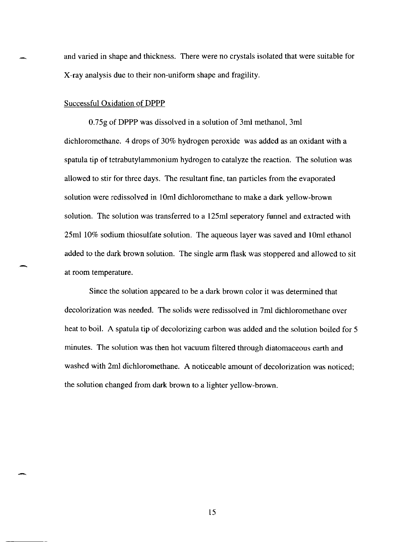and varied in shape and thickness. There were no crystals isolated that were suitable for X-ray analysis due to their non-uniform shape and fragility.

#### Successful Oxidation of **DPPP**

0.7Sg of **DPPP** was dissolved in a solution of 3ml methanol, 3ml dichloromethane. 4 drops of 30% hydrogen peroxide was added as an oxidant with a spatula tip of tetrabutylammonium hydrogen to catalyze the reaction. The solution was allowed to stir for three days. The resultant fine, tan particles from the evaporated solution were redissolved in IOml dichloromethane to make a dark yellow-brown solution. The solution was transferred to a 12Sml seperatory funnel and extracted with 2Sml 10% sodium thiosulfate solution. The aqueous layer was saved and IOml ethanol added to the dark brown solution. The single arm flask was stoppered and allowed to sit at room temperature.

Since the solution appeared to be a dark brown color it was determined that decolorization was needed. The solids were redissolved in 7ml dichloromethane over heat to boil. A spatula tip of decolorizing carbon was added and the solution boiled for 5 minutes. The solution was then hot vacuum filtered through diatomaceous earth and washed with 2ml dichloromethane. A noticeable amount of decolorization was noticed; the solution changed from dark brown to a lighter yellow-brown.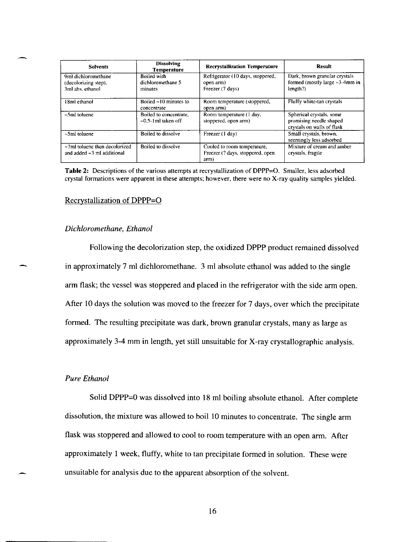| <b>Solvents</b>                                                      | <b>Dissolving</b><br><b>Temperature</b>          | <b>Recrystallization Temperature</b>                                    | Result                                                                            |
|----------------------------------------------------------------------|--------------------------------------------------|-------------------------------------------------------------------------|-----------------------------------------------------------------------------------|
| 9ml dichloromethane<br>(decolorizing step),<br>3ml abs. ethanol      | Boiled with<br>dichloromethane 5<br>minutes      | Refrigerator (10 days, stoppered,<br>open arm)<br>Freezer (7 days)      | Dark, brown granular crystals<br>formed (mostly large $-3-4$ mm in<br>length?)    |
| 18ml ethanol                                                         | Boiled $\sim$ 10 minutes to<br>concentrate       | Room temperature (stoppered,<br>open arm)                               | Flufty white-tan crystals                                                         |
| $\sim$ 5ml toluene                                                   | Boiled to concentrate,<br>$-0.5$ -1 ml taken off | Room temperature (1 day,<br>stoppered, open arm)                        | Spherical crystals, some<br>promising needle shaped<br>crystals on walls of flask |
| $~5$ ml toluene                                                      | Boiled to dissolve                               | Freezer (1 day)                                                         | Small crystals, brown,<br>seemingly less adsorbed                                 |
| $~\sim$ 7ml toluene then decolorized<br>and added $-3$ ml additional | Boiled to dissolve                               | Cooled to room temperature,<br>Freezer (? days, stoppered, open<br>arm) | Mixture of cream and amber<br>crystals, fragile                                   |

Table 2: Descriptions of the various attempts at recrystallization of DPPP=O. Smaller, less adsorbed crystal formations were apparent in these attempts; however, there were no X-ray quality samples yielded.

#### Recrystallization of DPPP-O

#### *Dichloromethane, Ethanol*

Following the decolorization step, the oxidized DPPP product remained dissolved in approximately 7 ml dichloromethane. 3 ml absolute ethanol was added to the single arm flask; the vessel was stoppered and placed in the refrigerator with the side arm open. After 10 days the solution was moved to the freezer for 7 days, over which the precipitate formed. The resulting precipitate was dark, brown granular crystals, many as large as approximately 3-4 mm in length, yet still unsuitable for X-ray crystallographic analysis.

## *Pure Ethanol*

Solid DPPP=O was dissolved into 18 ml boiling absolute ethanol. After complete dissolution, the mixture was allowed to boil 10 minutes to concentrate. The single arm flask was stoppered and allowed to cool to room temperature with an open arm. After approximately I week, fluffy, white to tan precipitate formed in solution. These were unsuitable for analysis due to the apparent absorption of the solvent.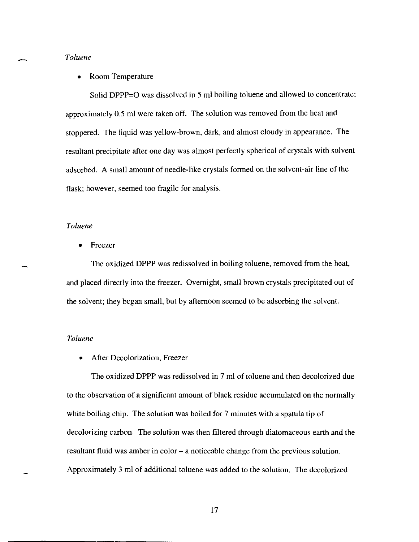#### *Toluene*

#### • Room Temperature

Solid DPPP=O was dissolved in 5 ml boiling toluene and allowed to concentrate; approximately 0.5 ml were taken off. The solution was removed from the heat and stoppered. The liquid was yellow-brown, dark, and almost cloudy in appearance. The resultant precipitate after one day was almost perfectly spherical of crystals with solvent adsorbed. A small amount of needle-like crystals formed on the solvent-air line of the flask; however, seemed too fragile for analysis.

## *Toluene*

**Freezer** 

The oxidized DPPP was redissolved in boiling toluene, removed from the heat, and placed directly into the freezer. Overnight, small brown crystals precipitated out of the solvent; they began small, but by afternoon seemed to be adsorbing the solvent.

## *Toluene*

After Decolorization, Freezer

The oxidized DPPP was redissolved in 7 ml of toluene and then decolorized due to the observation of a significant amount of black residue accumulated on the normally white boiling chip. The solution was boiled for 7 minutes with a spatula tip of decolorizing carbon. The solution was then filtered through diatomaceous earth and the resultant fluid was amber in color – a noticeable change from the previous solution. Approximately 3 ml of additional toluene was added to the solution. The decolorized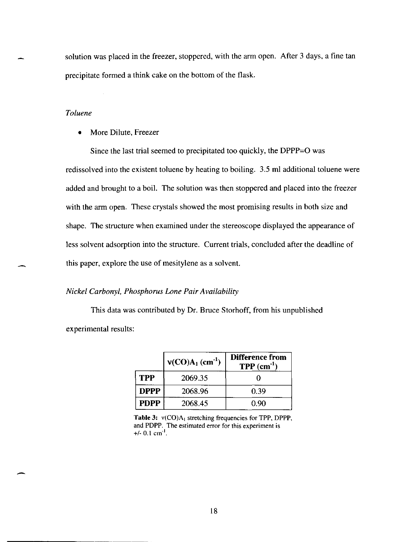solution was placed in the freezer, stoppered, with the arm open. After 3 days, a fine tan precipitate formed a think cake on the bottom of the flask.

## *Toluene*

• More Dilute, Freezer

Since the last trial seemed to precipitated too quickly, the DPPP=O was redissolved into the existent toluene by heating to boiling. 3.5 ml additional toluene were added and brought to a boil. The solution was then stoppered and placed into the freezer with the arm open. These crystals showed the most promising results in both size and shape. The structure when examined under the stereoscope displayed the appearance of less solvent adsorption into the structure. Current trials, concluded after the deadline of this paper, explore the use of mesitylene as a solvent.

## *Nickel Carbonyl, Phosphorus Lone Pair Availability*

This data was contributed by Dr. Bruce Storhoff, from his unpublished experimental results:

|             | $V(CO)A_1$ (cm <sup>-1</sup> ) | <b>Difference from</b><br>$TPP$ (cm <sup>-1</sup> ) |
|-------------|--------------------------------|-----------------------------------------------------|
| <b>TPP</b>  | 2069.35                        |                                                     |
| <b>DPPP</b> | 2068.96                        | 0.39                                                |
| <b>PDPP</b> | 2068.45                        | 0.90                                                |

Table 3:  $v(CO)A_1$  stretching frequencies for TPP, DPPP, and PDPP. The estimated error for this experiment is +/- 0.1 cm<sup>-1</sup>.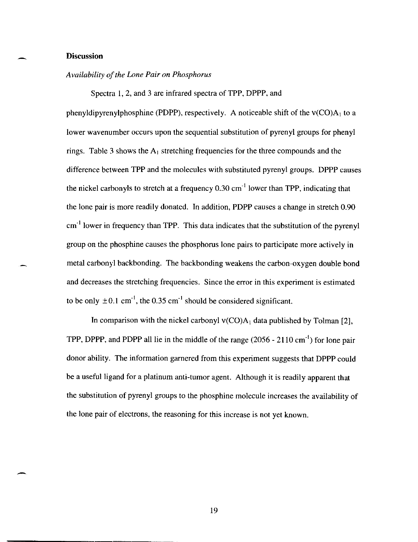#### **Discussion**

-

-

#### *Availability of the Lone Pair on Phosphorus*

Spectra 1, 2, and 3 are infrared spectra of TPP, DPPP, and

phenyldipyrenylphosphine (PDPP), respectively. A noticeable shift of the  $v(CO)A_1$  to a lower wavenumber occurs upon the sequential substitution of pyrenyl groups for phenyl rings. Table 3 shows the  $A_1$  stretching frequencies for the three compounds and the difference between TPP and the molecules with substituted pyrenyl groups. DPPP causes the nickel carbonyls to stretch at a frequency  $0.30 \text{ cm}^{-1}$  lower than TPP, indicating that the lone pair is more readily donated. In addition, PDPP causes a change in stretch 0.90  $cm<sup>-1</sup>$  lower in frequency than TPP. This data indicates that the substitution of the pyrenyl group on the phosphine causes the phosphorus lone pairs to participate more actively in metal carbonyl backbonding. The backbonding weakens the carbon-oxygen double bond and decreases the stretching frequencies. Since the error in this experiment is estimated to be only  $\pm 0.1$  cm<sup>-1</sup>, the 0.35 cm<sup>-1</sup> should be considered significant.

In comparison with the nickel carbonyl  $v(CO)A_1$  data published by Tolman [2], TPP, DPPP, and PDPP all lie in the middle of the range  $(2056 - 2110 \text{ cm}^{-1})$  for lone pair donor ability. The information garnered from this experiment suggests that DPPP could be a useful ligand for a platinum anti-tumor agent. Although it is readily apparent that the substitution of pyrenyl groups to the phosphine molecule increases the availability of the lone pair of electrons, the reasoning for this increase is not yet known.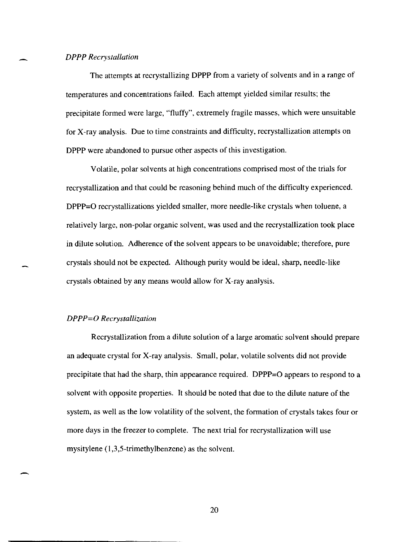## *DPPP Recrystallation*

The attempts at recrystallizing DPPP from a variety of solvents and in a range of temperatures and concentrations failed. Each attempt yielded similar results; the precipitate formed were large, "fluffy", extremely fragile masses, which were unsuitable for X-ray analysis. Due to time constraints and difficulty, recrystallization attempts on DPPP were abandoned to pursue other aspects of this investigation.

Volatile, polar solvents at high concentrations comprised most of the trials for recrystallization and that could be reasoning behind much of the difficulty experienced. DPPP=O recrystallizations yielded smaller, more needle-like crystals when toluene, a relatively large, non-polar organic solvent, was used and the recrystallization took place in dilute solution. Adherence of the solvent appears to be unavoidable; therefore, pure crystals should not be expected. Although purity would be ideal, sharp, needle-like crystals obtained by any means would allow for X-ray analysis.

#### *DPPP=O Recrystallization*

Recrystallization from a dilute solution of a large aromatic solvent should prepare an adequate crystal for X-ray analysis. Small, polar, volatile solvents did not provide precipitate that had the sharp, thin appearance required. DPPP=O appears to respond to a solvent with opposite properties. It should be noted that due to the dilute nature of the system, as well as the low volatility of the solvent, the formation of crystals takes four or more days in the freezer to complete. The next trial for recrystallization will use mysitylene (1,3,5-trimethylbenzene) as the solvent.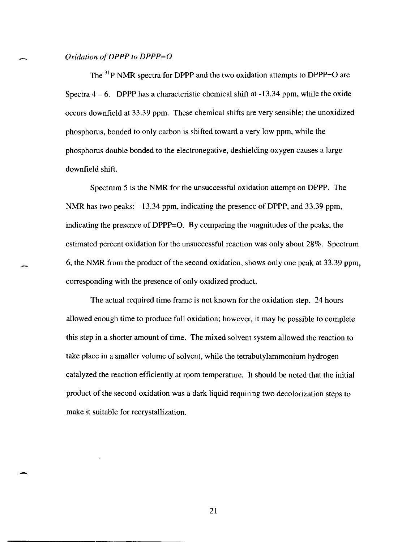#### Oxidation of **DPPP** to **DPPP=O**

The  $31\text{P}$  NMR spectra for DPPP and the two oxidation attempts to DPPP=O are Spectra  $4 - 6$ . DPPP has a characteristic chemical shift at  $-13.34$  ppm, while the oxide occurs downfield at 33.39 ppm. These chemical shifts are very sensible; the unoxidized phosphorus, bonded to only carbon is shifted toward a very low ppm, while the phosphorus double bonded to the electronegative, deshielding oxygen causes a large downfield shift.

Spectrum 5 is the NMR for the unsuccessful oxidation attempt on DPPP. The NMR has two peaks: -13.34 ppm, indicating the presence of DPPP, and 33.39 ppm, indicating the presence of DPPP=O. By comparing the magnitudes of the peaks, the estimated percent oxidation for the unsuccessful reaction was only about 28%. Spectrum 6, the NMR from the product of the second oxidation, shows only one peak at 33.39 ppm, corresponding with the presence of only oxidized product.

The actual required time frame is not known for the oxidation step. 24 hours allowed enough time to produce full oxidation; however, it may be possible to complete this step in a shorter amount of time. The mixed solvent system allowed the reaction to take place in a smaller volume of solvent, while the tetrabutylammonium hydrogen catalyzed the reaction efficiently at room temperature. It should be noted that the initial product of the second oxidation was a dark liquid requiring two decolorization steps to make it suitable for recrystallization.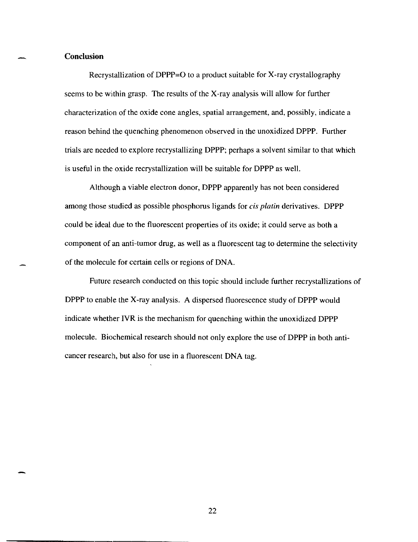#### **Conclusion**

-

-

Recrystallization of DPPP=O to a product suitable for X-ray crystallography seems to be within grasp. The results of the X-ray analysis will allow for further characterization of the oxide cone angles, spatial arrangement, and, possibly, indicate a reason behind the quenching phenomenon observed in the unoxidized DPPP. Further trials are needed to explore recrystallizing DPPP; perhaps a solvent similar to that which is useful in the oxide recrystallization will be suitable for DPPP as well.

Although a viable electron donor, DPPP apparently has not been considered among those studied as possible phosphorus ligands for *cis platin* derivatives. DPPP could be ideal due to the fluorescent properties of its oxide; it could serve as both a component of an anti-tumor drug, as well as a fluorescent tag to determine the selectivity of the molecule for certain cells or regions of DNA.

Future research conducted on this topic should include further recrystallizations of DPPP to enable the X-ray analysis. A dispersed fluorescence study of DPPP would indicate whether IVR is the mechanism for quenching within the unoxidized DPPP molecule. Biochemical research should not only explore the use of DPPP in both anticancer research, but also for use in a fluorescent DNA tag.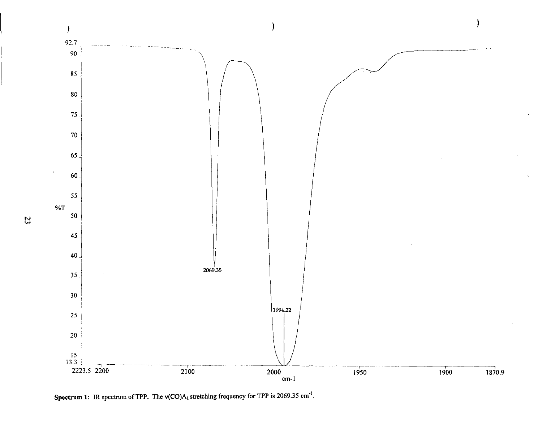

**Spectrum 1:** IR spectrum of TPP. The v(CO)A<sub>1</sub> stretching frequency for TPP is 2069.35 cm<sup>-1</sup>.

IV w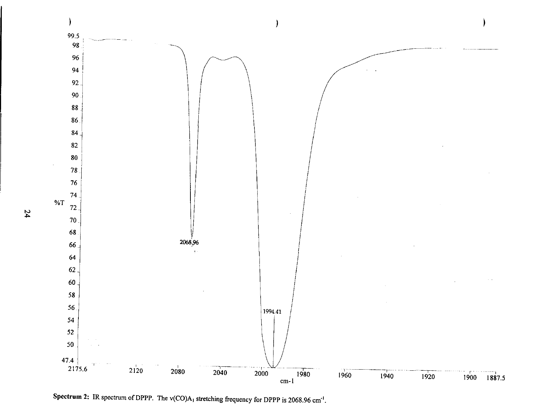

Spectrum 2: IR spectrum of DPPP. The  $v(CO)A_1$  stretching frequency for DPPP is 2068.96 cm<sup>-1</sup>.

tv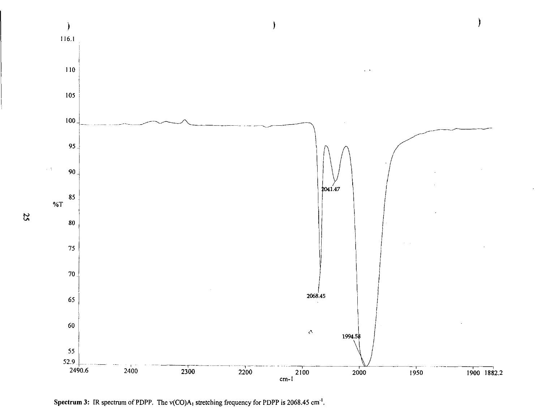

Spectrum 3: IR spectrum of PDPP. The v(CO)A<sub>1</sub> stretching frequency for PDPP is 2068.45 cm<sup>-1</sup>.

IV u.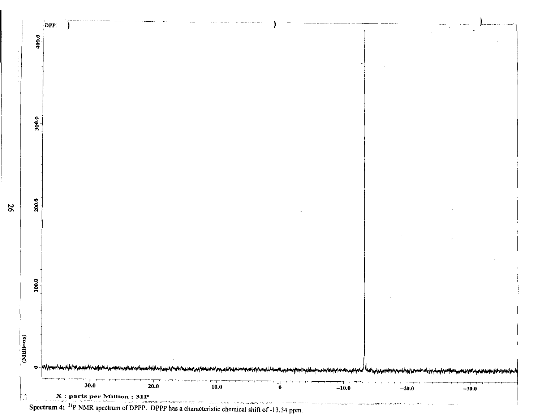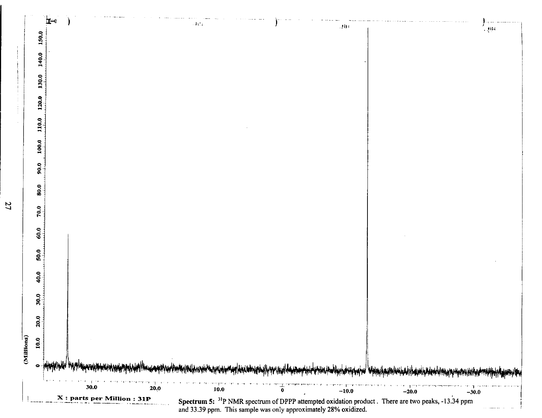

tv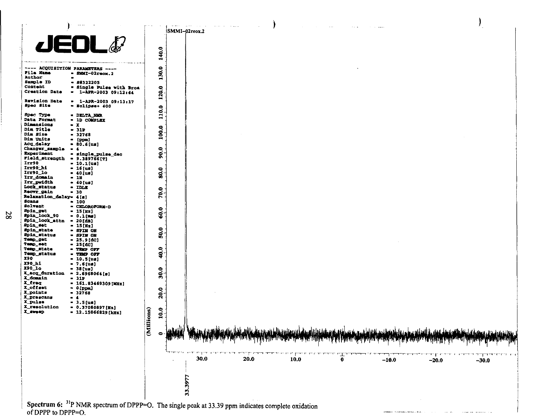

of DPPP to DPPP=O.

tv 00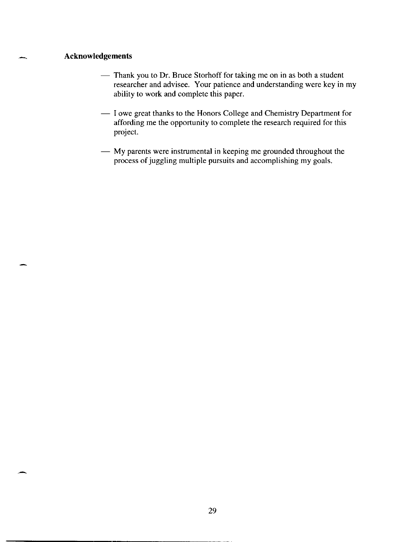## **Acknowledgements**

- Thank you to Dr. Bruce Storhoff for taking me on in as both a student researcher and advisee. Your patience and understanding were key in my ability to work and complete this paper.
- I owe great thanks to the Honors College and Chemistry Department for affording me the opportunity to complete the research required for this project.
- My parents were instrumental in keeping me grounded throughout the process of juggling multiple pursuits and accomplishing my goals.